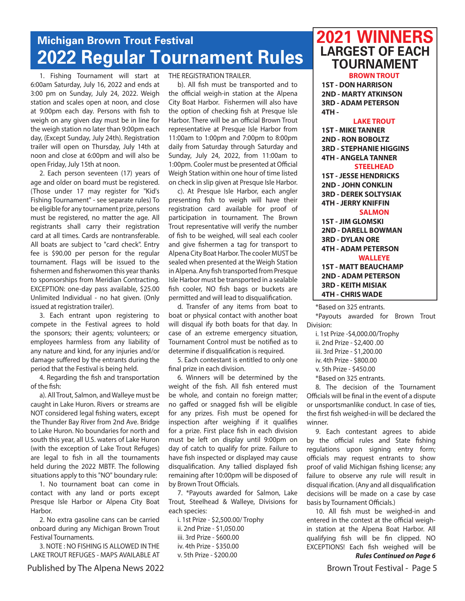# **Michigan Brown Trout Festival 2022 Regular Tournament Rules**

1. Fishing Tournament will start at 6:00am Saturday, July 16, 2022 and ends at 3:00 pm on Sunday, July 24, 2022. Weigh station and scales open at noon, and close at 9:00pm each day. Persons with fish to weigh on any given day must be in line for the weigh station no later than 9:00pm each day, (Except Sunday, July 24th). Registration trailer will open on Thursday, July 14th at noon and close at 6:00pm and will also be open Friday, July 15th at noon.

2. Each person seventeen (17) years of age and older on board must be registered. (Those under 17 may register for "Kid's Fishing Tournament" - see separate rules) To be eligible for any tournament prize, persons must be registered, no matter the age. All registrants shall carry their registration card at all times. Cards are nontransferable. All boats are subject to "card check". Entry fee is \$90.00 per person for the regular tournament. Flags will be issued to the fishermen and fisherwomen this year thanks to sponsorships from Meridian Contracting. EXCEPTION: one-day pass available, \$25.00 Unlimited Individual - no hat given. (Only issued at registration trailer).

3. Each entrant upon registering to compete in the Festival agrees to hold the sponsors; their agents; volunteers; or employees harmless from any liability of any nature and kind, for any injuries and/or damage suffered by the entrants during the period that the Festival is being held.

4. Regarding the fish and transportation of the fish:

a). All Trout, Salmon, and Walleye must be caught in Lake Huron. Rivers or streams are NOT considered legal fishing waters, except the Thunder Bay River from 2nd Ave. Bridge to Lake Huron. No boundaries for north and south this year, all U.S. waters of Lake Huron (with the exception of Lake Trout Refuges) are legal to fish in all the tournaments held during the 2022 MBTF. The following situations apply to this "NO" boundary rule:

1. No tournament boat can come in contact with any land or ports except Presque Isle Harbor or Alpena City Boat Harbor.

2. No extra gasoline cans can be carried onboard during any Michigan Brown Trout Festival Tournaments.

3. NOTE : NO FISHING IS ALLOWED IN THE LAKE TROUT REFUGES - MAPS AVAILABLE AT THE REGISTRATION TRAILER.

b). All fish must be transported and to the official weigh-in station at the Alpena City Boat Harbor. Fishermen will also have the option of checking fish at Presque Isle Harbor. There will be an official Brown Trout representative at Presque Isle Harbor from 11:00am to 1:00pm and 7:00pm to 8:00pm daily from Saturday through Saturday and Sunday, July 24, 2022, from 11:00am to 1:00pm. Cooler must be presented at Official Weigh Station within one hour of time listed on check in slip given at Presque Isle Harbor.

c). At Presque Isle Harbor, each angler presenting fish to weigh will have their registration card available for proof of participation in tournament. The Brown Trout representative will verify the number of fish to be weighed, will seal each cooler and give fishermen a tag for transport to Alpena City Boat Harbor. The cooler MUST be sealed when presented at the Weigh Station in Alpena. Any fish transported from Presque Isle Harbor must be transported in a sealable fish cooler, NO fish bags or buckets are permitted and will lead to disquaIification.

d. Transfer of any items from boat to boat or physical contact with another boat will disqual ify both boats for that day. In case of an extreme emergency situation, Tournament Control must be notified as to determine if disqualification is required.

5. Each contestant is entitled to only one final prize in each division.

6. Winners will be determined by the weight of the fish. All fish entered must be whole, and contain no foreign matter; no gaffed or snagged fish will be eligible for any prizes. Fish must be opened for inspection after weighing if it qualifies for a prize. First place fish in each division must be left on display until 9:00pm on day of catch to qualify for prize. Failure to have fish inspected or displayed may cause disqualification. Any tallied displayed fish remaining after 10:00pm will be disposed of by Brown Trout Officials.

7. \*Payouts awarded for Salmon, Lake Trout, Steelhead & Walleye, Divisions for each species:

i. 1st Prize - \$2,500.00/ Trophy ii. 2nd Prize - \$1,050.00 iii. 3rd Prize - \$600.00 iv. 4th Prize - \$350.00 v. 5th Prize - \$200.00

## **2021 WINNERS LARGEST OF EACH TOURNAMENT**

**BROWN TROUT 1ST - DON HARRISON 2ND - MARTY ATKINSON 3RD - ADAM PETERSON 4TH -**

#### **LAKE TROUT**

**1ST - MIKE TANNER 2ND - RON BOBOLTZ 3RD - STEPHANIE HIGGINS 4TH - ANGELA TANNER**

#### **STEELHEAD**

**1ST - JESSE HENDRICKS 2ND - JOHN CONKLIN 3RD - DEREK SOLTYSIAK 4TH - JERRY KNIFFIN**

### **SALMON**

**1ST - JIM GLOMSKI 2ND - DARELL BOWMAN 3RD - DYLAN ORE 4TH - ADAM PETERSON WALLEYE**

**1ST - MATT BEAUCHAMP 2ND - ADAM PETERSON 3RD - KEITH MISIAK 4TH - CHRIS WADE**

\*Based on 325 entrants.

\*Payouts awarded for Brown Trout Division:

i. 1st Prize -\$4,000.00/Trophy ii. 2nd Prize - \$2,400 .00 iii. 3rd Prize - \$1,200.00

iv. 4th Prize - \$800.00

v. 5th Prize - \$450.00

\*Based on 325 entrants.

8. The decision of the Tournament Officials will be final in the event of a dispute or unsportsmanlike conduct. In case of ties, the first fish weighed-in will be declared the winner.

9. Each contestant agrees to abide by the official rules and State fishing regulations upon signing entry form; officials may request entrants to show proof of valid Michigan fishing license; any failure to observe any rule will result in disqual ification. (Any and all disqualification decisions will be made on a case by case basis by Tournament Officials.)

10. All fish must be weighed-in and entered in the contest at the official weighin station at the Alpena Boat Harbor. All qualifying fish will be fin clipped. NO EXCEPTIONS! Each fish weighed will be *Rules Continued on Page 6*